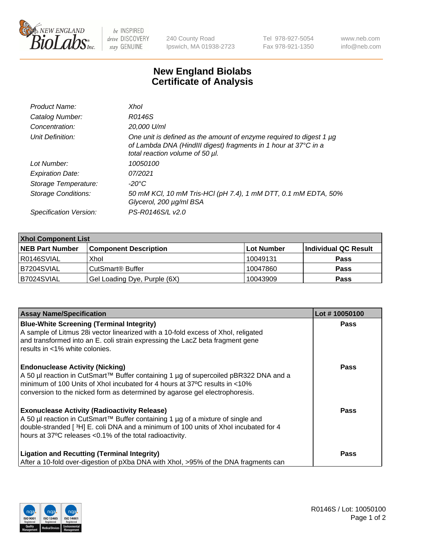

 $be$  INSPIRED drive DISCOVERY stay GENUINE

240 County Road Ipswich, MA 01938-2723 Tel 978-927-5054 Fax 978-921-1350 www.neb.com info@neb.com

## **New England Biolabs Certificate of Analysis**

| Product Name:              | Xhol                                                                                                                                                                      |
|----------------------------|---------------------------------------------------------------------------------------------------------------------------------------------------------------------------|
| Catalog Number:            | R0146S                                                                                                                                                                    |
| Concentration:             | 20,000 U/ml                                                                                                                                                               |
| Unit Definition:           | One unit is defined as the amount of enzyme required to digest 1 µg<br>of Lambda DNA (HindIII digest) fragments in 1 hour at 37°C in a<br>total reaction volume of 50 µl. |
| Lot Number:                | 10050100                                                                                                                                                                  |
| <b>Expiration Date:</b>    | 07/2021                                                                                                                                                                   |
| Storage Temperature:       | -20°C                                                                                                                                                                     |
| <b>Storage Conditions:</b> | 50 mM KCl, 10 mM Tris-HCl (pH 7.4), 1 mM DTT, 0.1 mM EDTA, 50%<br>Glycerol, 200 µg/ml BSA                                                                                 |
| Specification Version:     | PS-R0146S/L v2.0                                                                                                                                                          |

| <b>Xhol Component List</b> |                              |             |                      |  |  |
|----------------------------|------------------------------|-------------|----------------------|--|--|
| <b>NEB Part Number</b>     | <b>Component Description</b> | ∣Lot Number | Individual QC Result |  |  |
| R0146SVIAL                 | Xhol                         | 10049131    | <b>Pass</b>          |  |  |
| B7204SVIAL                 | CutSmart® Buffer             | 10047860    | <b>Pass</b>          |  |  |
| B7024SVIAL                 | Gel Loading Dye, Purple (6X) | 10043909    | <b>Pass</b>          |  |  |

| <b>Assay Name/Specification</b>                                                                                                                                                                                                                                                             | Lot #10050100 |
|---------------------------------------------------------------------------------------------------------------------------------------------------------------------------------------------------------------------------------------------------------------------------------------------|---------------|
| <b>Blue-White Screening (Terminal Integrity)</b><br>A sample of Litmus 28i vector linearized with a 10-fold excess of Xhol, religated                                                                                                                                                       | <b>Pass</b>   |
| and transformed into an E. coli strain expressing the LacZ beta fragment gene<br>results in <1% white colonies.                                                                                                                                                                             |               |
| <b>Endonuclease Activity (Nicking)</b><br>A 50 µl reaction in CutSmart™ Buffer containing 1 µg of supercoiled pBR322 DNA and a<br>minimum of 100 Units of Xhol incubated for 4 hours at 37°C results in <10%<br>conversion to the nicked form as determined by agarose gel electrophoresis. | <b>Pass</b>   |
| <b>Exonuclease Activity (Radioactivity Release)</b><br>A 50 µl reaction in CutSmart™ Buffer containing 1 µg of a mixture of single and<br>double-stranded [3H] E. coli DNA and a minimum of 100 units of Xhol incubated for 4<br>hours at 37°C releases <0.1% of the total radioactivity.   | <b>Pass</b>   |
| <b>Ligation and Recutting (Terminal Integrity)</b><br>After a 10-fold over-digestion of pXba DNA with Xhol, >95% of the DNA fragments can                                                                                                                                                   | Pass          |